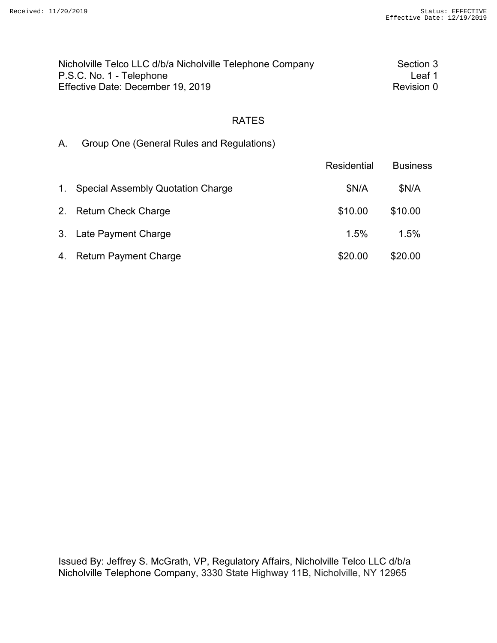| Nicholville Telco LLC d/b/a Nicholville Telephone Company | Section 3  |
|-----------------------------------------------------------|------------|
| P.S.C. No. 1 - Telephone                                  | Leaf 1     |
| Effective Date: December 19, 2019                         | Revision 0 |

A. Group One (General Rules and Regulations)

|                |                                          | Residential | <b>Business</b> |
|----------------|------------------------------------------|-------------|-----------------|
| 1 <sup>1</sup> | <b>Special Assembly Quotation Charge</b> | \$N/A       | \$N/A           |
|                | 2. Return Check Charge                   | \$10.00     | \$10.00         |
|                | 3. Late Payment Charge                   | $1.5\%$     | 1.5%            |
|                | 4. Return Payment Charge                 | \$20.00     | \$20.00         |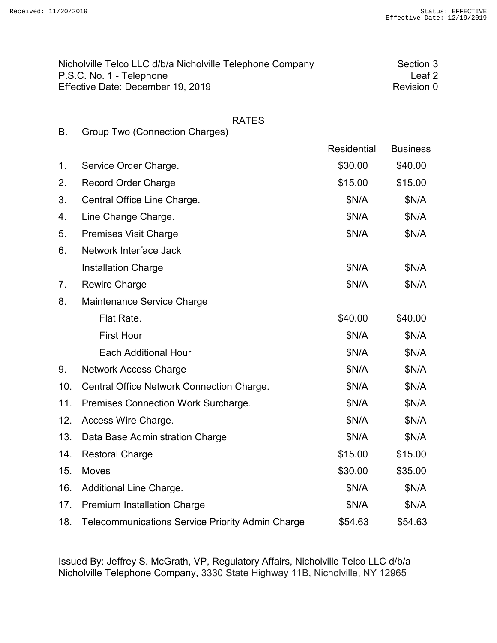|           | Nicholville Telco LLC d/b/a Nicholville Telephone Company<br>P.S.C. No. 1 - Telephone |             | Section 3<br>Leaf <sub>2</sub> |
|-----------|---------------------------------------------------------------------------------------|-------------|--------------------------------|
|           | Effective Date: December 19, 2019                                                     |             | Revision 0                     |
|           |                                                                                       |             |                                |
| <b>B.</b> | <b>RATES</b><br><b>Group Two (Connection Charges)</b>                                 |             |                                |
|           |                                                                                       | Residential | <b>Business</b>                |
| 1.        | Service Order Charge.                                                                 | \$30.00     | \$40.00                        |
| 2.        | <b>Record Order Charge</b>                                                            | \$15.00     | \$15.00                        |
| 3.        | Central Office Line Charge.                                                           | \$N/A       | \$N/A                          |
| 4.        | Line Change Charge.                                                                   | \$N/A       | \$N/A                          |
| 5.        | <b>Premises Visit Charge</b>                                                          | \$N/A       | \$N/A                          |
| 6.        | Network Interface Jack                                                                |             |                                |
|           | <b>Installation Charge</b>                                                            | \$N/A       | \$N/A                          |
| 7.        | <b>Rewire Charge</b>                                                                  | \$N/A       | \$N/A                          |
| 8.        | Maintenance Service Charge                                                            |             |                                |
|           | Flat Rate.                                                                            | \$40.00     | \$40.00                        |
|           | <b>First Hour</b>                                                                     | \$N/A       | \$N/A                          |
|           | <b>Each Additional Hour</b>                                                           | \$N/A       | \$N/A                          |
| 9.        | <b>Network Access Charge</b>                                                          | \$N/A       | \$N/A                          |
| 10.       | Central Office Network Connection Charge.                                             | \$N/A       | \$N/A                          |
| 11.       | Premises Connection Work Surcharge.                                                   | \$N/A       | \$N/A                          |
| 12.       | Access Wire Charge.                                                                   | \$N/A       | \$N/A                          |
|           |                                                                                       |             |                                |

|     | 13. Data Base Administration Charge                     | \$N/A   | \$N/A   |
|-----|---------------------------------------------------------|---------|---------|
| 14. | <b>Restoral Charge</b>                                  | \$15.00 | \$15.00 |
| 15. | <b>Moves</b>                                            | \$30.00 | \$35.00 |
|     | 16. Additional Line Charge.                             | \$N/A   | \$N/A   |
|     | 17. Premium Installation Charge                         | \$N/A   | \$N/A   |
| 18. | <b>Telecommunications Service Priority Admin Charge</b> | \$54.63 | \$54.63 |
|     |                                                         |         |         |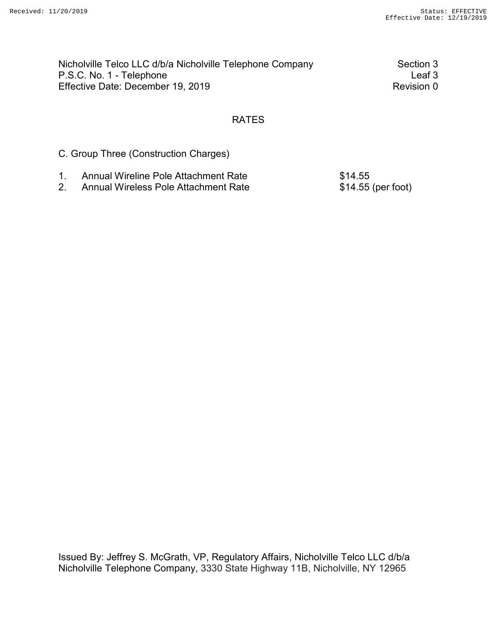| Nicholville Telco LLC d/b/a Nicholville Telephone Company | Section 3  |
|-----------------------------------------------------------|------------|
| P.S.C. No. 1 - Telephone                                  | Leaf 3     |
| Effective Date: December 19, 2019                         | Revision 0 |

C. Group Three (Construction Charges)

- 1. Annual Wireline Pole Attachment Rate \$14.55
- 2. Annual Wireless Pole Attachment Rate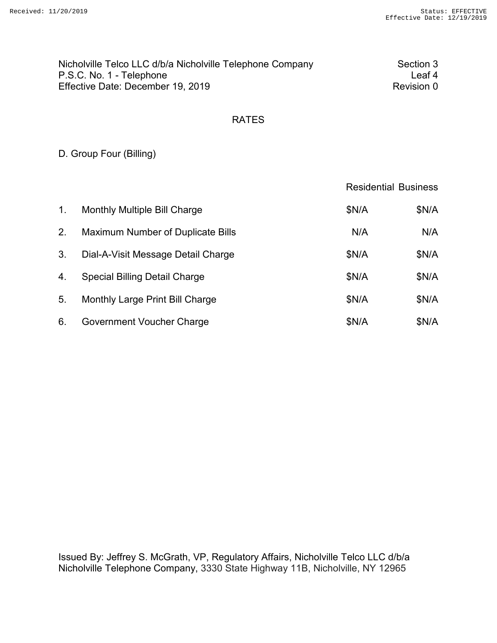| Nicholville Telco LLC d/b/a Nicholville Telephone Company | Section 3  |
|-----------------------------------------------------------|------------|
| P.S.C. No. 1 - Telephone                                  | Leaf 4     |
| Effective Date: December 19, 2019                         | Revision 0 |

# D. Group Four (Billing)

|                |                                          | <b>Residential Business</b> |       |
|----------------|------------------------------------------|-----------------------------|-------|
| 1 <sub>1</sub> | <b>Monthly Multiple Bill Charge</b>      | \$N/A                       | \$N/A |
| 2.             | <b>Maximum Number of Duplicate Bills</b> | N/A                         | N/A   |
| 3.             | Dial-A-Visit Message Detail Charge       | \$N/A                       | \$N/A |
| 4.             | <b>Special Billing Detail Charge</b>     | \$N/A                       | \$N/A |
| 5.             | Monthly Large Print Bill Charge          | \$N/A                       | \$N/A |
| 6.             | Government Voucher Charge                | \$N/A                       | \$N/A |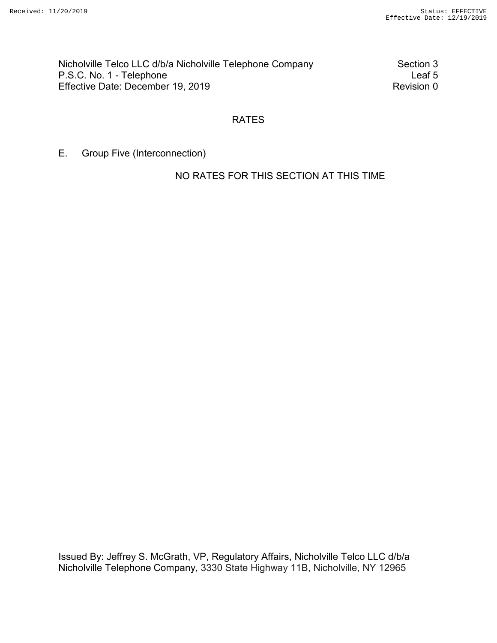Nicholville Telco LLC d/b/a Nicholville Telephone Company Section 3<br>P.S.C. No. 1 - Telephone Leaf 5 P.S.C. No. 1 - Telephone Effective Date: December 19, 2019 Revision 0

### RATES

E. Group Five (Interconnection)

NO RATES FOR THIS SECTION AT THIS TIME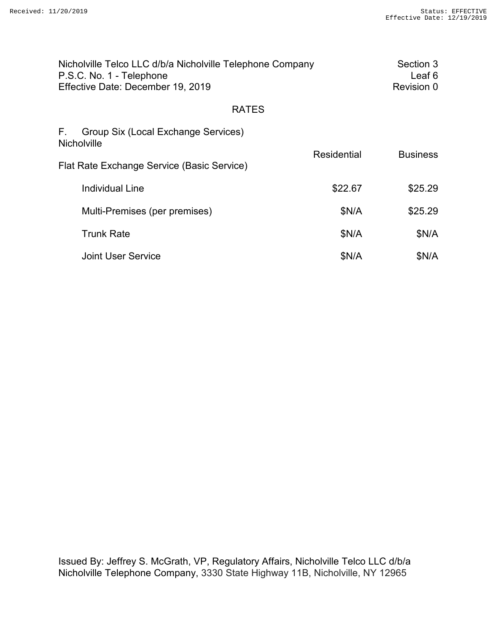| Nicholville Telco LLC d/b/a Nicholville Telephone Company<br>P.S.C. No. 1 - Telephone<br>Effective Date: December 19, 2019 |             | Section 3<br>Leaf <sub>6</sub><br>Revision 0 |
|----------------------------------------------------------------------------------------------------------------------------|-------------|----------------------------------------------|
| <b>RATES</b>                                                                                                               |             |                                              |
| F.<br>Group Six (Local Exchange Services)<br>Nicholville                                                                   |             |                                              |
| Flat Rate Exchange Service (Basic Service)                                                                                 | Residential | <b>Business</b>                              |
| <b>Individual Line</b>                                                                                                     | \$22.67     | \$25.29                                      |
| Multi-Premises (per premises)                                                                                              | \$N/A       | \$25.29                                      |
| <b>Trunk Rate</b>                                                                                                          | \$N/A       | \$N/A                                        |
| <b>Joint User Service</b>                                                                                                  | \$N/A       | \$N/A                                        |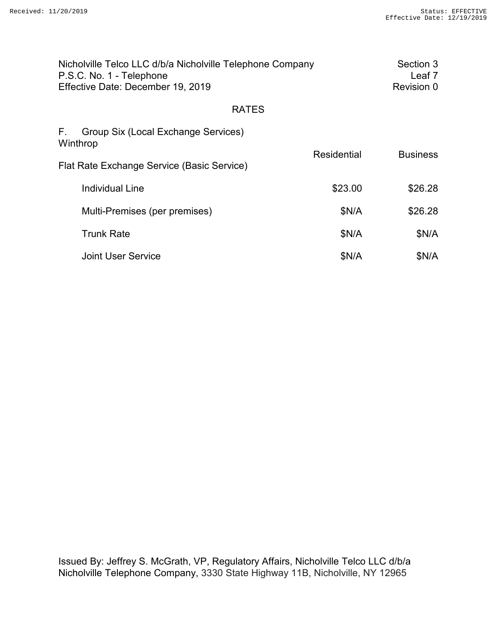| Nicholville Telco LLC d/b/a Nicholville Telephone Company<br>P.S.C. No. 1 - Telephone<br>Effective Date: December 19, 2019 |                    | Section 3<br>Leaf <sub>7</sub><br>Revision 0 |
|----------------------------------------------------------------------------------------------------------------------------|--------------------|----------------------------------------------|
| <b>RATES</b>                                                                                                               |                    |                                              |
| F.<br>Group Six (Local Exchange Services)<br>Winthrop                                                                      |                    |                                              |
| Flat Rate Exchange Service (Basic Service)                                                                                 | <b>Residential</b> | <b>Business</b>                              |
| <b>Individual Line</b>                                                                                                     | \$23.00            | \$26.28                                      |
| Multi-Premises (per premises)                                                                                              | \$N/A              | \$26.28                                      |
| <b>Trunk Rate</b>                                                                                                          | \$N/A              | \$N/A                                        |
| <b>Joint User Service</b>                                                                                                  | \$N/A              | \$N/A                                        |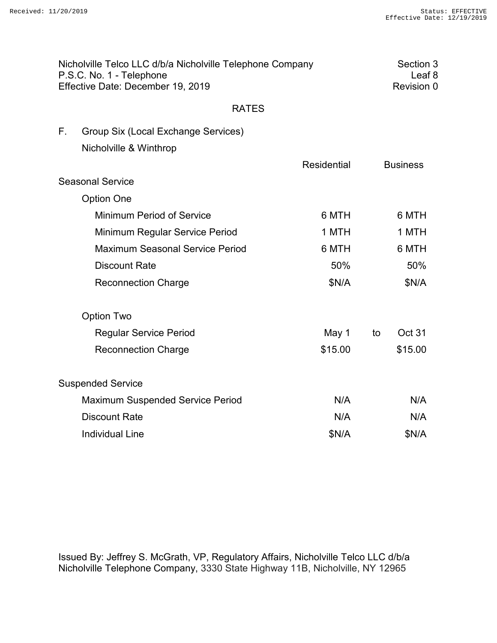| Nicholville Telco LLC d/b/a Nicholville Telephone Company<br>P.S.C. No. 1 - Telephone<br>Effective Date: December 19, 2019 |                                         |             | Section 3<br>Leaf <sub>8</sub><br>Revision 0 |                 |
|----------------------------------------------------------------------------------------------------------------------------|-----------------------------------------|-------------|----------------------------------------------|-----------------|
|                                                                                                                            | <b>RATES</b>                            |             |                                              |                 |
| F.                                                                                                                         | Group Six (Local Exchange Services)     |             |                                              |                 |
|                                                                                                                            | Nicholville & Winthrop                  |             |                                              |                 |
|                                                                                                                            |                                         | Residential |                                              | <b>Business</b> |
|                                                                                                                            | <b>Seasonal Service</b>                 |             |                                              |                 |
|                                                                                                                            | <b>Option One</b>                       |             |                                              |                 |
|                                                                                                                            | <b>Minimum Period of Service</b>        | 6 MTH       |                                              | 6 MTH           |
|                                                                                                                            | Minimum Regular Service Period          | 1 MTH       |                                              | 1 MTH           |
|                                                                                                                            | <b>Maximum Seasonal Service Period</b>  | 6 MTH       |                                              | 6 MTH           |
|                                                                                                                            | <b>Discount Rate</b>                    | 50%         |                                              | 50%             |
|                                                                                                                            | <b>Reconnection Charge</b>              | \$N/A       |                                              | \$N/A           |
|                                                                                                                            | <b>Option Two</b>                       |             |                                              |                 |
|                                                                                                                            | <b>Regular Service Period</b>           | May 1       | to                                           | Oct 31          |
|                                                                                                                            | <b>Reconnection Charge</b>              | \$15.00     |                                              | \$15.00         |
|                                                                                                                            | <b>Suspended Service</b>                |             |                                              |                 |
|                                                                                                                            | <b>Maximum Suspended Service Period</b> | N/A         |                                              | N/A             |
|                                                                                                                            | <b>Discount Rate</b>                    | N/A         |                                              | N/A             |
|                                                                                                                            | <b>Individual Line</b>                  | \$N/A       |                                              | \$N/A           |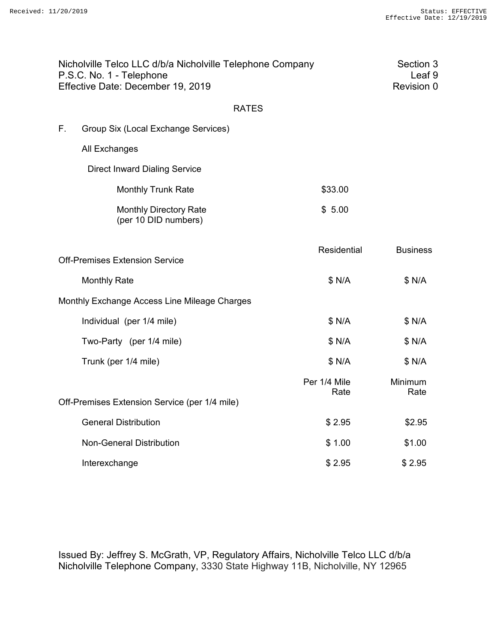| Nicholville Telco LLC d/b/a Nicholville Telephone Company<br>P.S.C. No. 1 - Telephone<br>Effective Date: December 19, 2019 |                                                       |                      | Section 3<br>Leaf <sub>9</sub><br>Revision 0 |
|----------------------------------------------------------------------------------------------------------------------------|-------------------------------------------------------|----------------------|----------------------------------------------|
|                                                                                                                            | <b>RATES</b>                                          |                      |                                              |
| F.                                                                                                                         | Group Six (Local Exchange Services)                   |                      |                                              |
|                                                                                                                            | All Exchanges                                         |                      |                                              |
|                                                                                                                            | <b>Direct Inward Dialing Service</b>                  |                      |                                              |
|                                                                                                                            | <b>Monthly Trunk Rate</b>                             | \$33.00              |                                              |
|                                                                                                                            | <b>Monthly Directory Rate</b><br>(per 10 DID numbers) | \$5.00               |                                              |
|                                                                                                                            | <b>Off-Premises Extension Service</b>                 | Residential          | <b>Business</b>                              |
|                                                                                                                            | <b>Monthly Rate</b>                                   | \$ N/A               | \$ N/A                                       |
|                                                                                                                            | Monthly Exchange Access Line Mileage Charges          |                      |                                              |
|                                                                                                                            | Individual (per 1/4 mile)                             | \$ N/A               | \$ N/A                                       |
|                                                                                                                            | Two-Party (per 1/4 mile)                              | \$ N/A               | \$ N/A                                       |
|                                                                                                                            | Trunk (per 1/4 mile)                                  | \$ N/A               | \$ N/A                                       |
|                                                                                                                            |                                                       | Per 1/4 Mile<br>Rate | Minimum<br>Rate                              |
|                                                                                                                            | Off-Premises Extension Service (per 1/4 mile)         |                      |                                              |
|                                                                                                                            | <b>General Distribution</b>                           | \$2.95               | \$2.95                                       |
|                                                                                                                            | <b>Non-General Distribution</b>                       | \$1.00               | \$1.00                                       |
|                                                                                                                            | Interexchange                                         | \$2.95               | \$2.95                                       |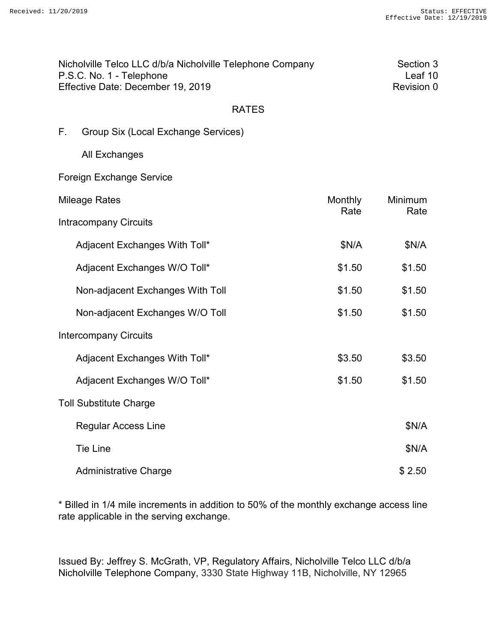| Nicholville Telco LLC d/b/a Nicholville Telephone Company | Section 3  |
|-----------------------------------------------------------|------------|
| P.S.C. No. 1 - Telephone                                  | Leaf 10    |
| Effective Date: December 19, 2019                         | Revision 0 |

| F. |  |  | Group Six (Local Exchange Services) |  |
|----|--|--|-------------------------------------|--|
|----|--|--|-------------------------------------|--|

All Exchanges

Foreign Exchange Service

| Mileage Rates                    | Monthly<br>Rate | Minimum<br>Rate |
|----------------------------------|-----------------|-----------------|
| <b>Intracompany Circuits</b>     |                 |                 |
| Adjacent Exchanges With Toll*    | \$N/A           | \$N/A           |
| Adjacent Exchanges W/O Toll*     | \$1.50          | \$1.50          |
| Non-adjacent Exchanges With Toll | \$1.50          | \$1.50          |
| Non-adjacent Exchanges W/O Toll  | \$1.50          | \$1.50          |
| <b>Intercompany Circuits</b>     |                 |                 |
| Adjacent Exchanges With Toll*    | \$3.50          | \$3.50          |
| Adjacent Exchanges W/O Toll*     | \$1.50          | \$1.50          |
| <b>Toll Substitute Charge</b>    |                 |                 |
| <b>Regular Access Line</b>       |                 | \$N/A           |
| <b>Tie Line</b>                  |                 | \$N/A           |
| <b>Administrative Charge</b>     |                 | \$2.50          |

\* Billed in 1/4 mile increments in addition to 50% of the monthly exchange access line rate applicable in the serving exchange.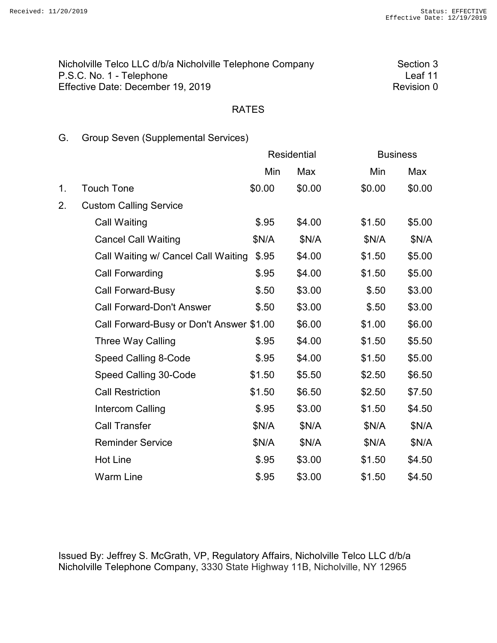| Nicholville Telco LLC d/b/a Nicholville Telephone Company | Section 3  |
|-----------------------------------------------------------|------------|
| P.S.C. No. 1 - Telephone                                  | l eaf 11   |
| Effective Date: December 19, 2019                         | Revision 0 |

# G. Group Seven (Supplemental Services)

|    |                                          |        | <b>Residential</b> | <b>Business</b> |        |
|----|------------------------------------------|--------|--------------------|-----------------|--------|
|    |                                          | Min    | Max                | Min             | Max    |
| 1. | <b>Touch Tone</b>                        | \$0.00 | \$0.00             | \$0.00          | \$0.00 |
| 2. | <b>Custom Calling Service</b>            |        |                    |                 |        |
|    | Call Waiting                             | \$.95  | \$4.00             | \$1.50          | \$5.00 |
|    | <b>Cancel Call Waiting</b>               | \$N/A  | \$N/A              | \$N/A           | \$N/A  |
|    | Call Waiting w/ Cancel Call Waiting      | \$.95  | \$4.00             | \$1.50          | \$5.00 |
|    | <b>Call Forwarding</b>                   | \$.95  | \$4.00             | \$1.50          | \$5.00 |
|    | <b>Call Forward-Busy</b>                 | \$.50  | \$3.00             | \$.50           | \$3.00 |
|    | <b>Call Forward-Don't Answer</b>         | \$.50  | \$3.00             | \$.50           | \$3.00 |
|    | Call Forward-Busy or Don't Answer \$1.00 |        | \$6.00             | \$1.00          | \$6.00 |
|    | Three Way Calling                        | \$.95  | \$4.00             | \$1.50          | \$5.50 |
|    | Speed Calling 8-Code                     | \$.95  | \$4.00             | \$1.50          | \$5.00 |
|    | Speed Calling 30-Code                    | \$1.50 | \$5.50             | \$2.50          | \$6.50 |
|    | <b>Call Restriction</b>                  | \$1.50 | \$6.50             | \$2.50          | \$7.50 |
|    | Intercom Calling                         | \$.95  | \$3.00             | \$1.50          | \$4.50 |
|    | <b>Call Transfer</b>                     | \$N/A  | \$N/A              | \$N/A           | \$N/A  |
|    | <b>Reminder Service</b>                  | \$N/A  | \$N/A              | \$N/A           | \$N/A  |
|    | <b>Hot Line</b>                          | \$.95  | \$3.00             | \$1.50          | \$4.50 |
|    | <b>Warm Line</b>                         | \$.95  | \$3.00             | \$1.50          | \$4.50 |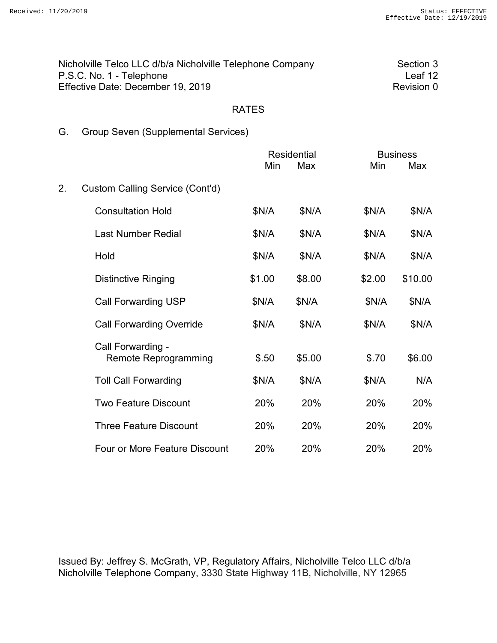| Nicholville Telco LLC d/b/a Nicholville Telephone Company | Section 3  |
|-----------------------------------------------------------|------------|
| P.S.C. No. 1 - Telephone                                  | Leaf 12    |
| Effective Date: December 19, 2019                         | Revision 0 |

# G. Group Seven (Supplemental Services)

|    |                                                  | <b>Residential</b> |        |        | <b>Business</b> |  |
|----|--------------------------------------------------|--------------------|--------|--------|-----------------|--|
|    |                                                  | Min                | Max    | Min    | Max             |  |
| 2. | Custom Calling Service (Cont'd)                  |                    |        |        |                 |  |
|    | <b>Consultation Hold</b>                         | \$N/A              | \$N/A  | \$N/A  | \$N/A           |  |
|    | <b>Last Number Redial</b>                        | \$N/A              | \$N/A  | \$N/A  | \$N/A           |  |
|    | Hold                                             | \$N/A              | \$N/A  | \$N/A  | \$N/A           |  |
|    | <b>Distinctive Ringing</b>                       | \$1.00             | \$8.00 | \$2.00 | \$10.00         |  |
|    | <b>Call Forwarding USP</b>                       | \$N/A              | \$N/A  | \$N/A  | \$N/A           |  |
|    | <b>Call Forwarding Override</b>                  | \$N/A              | \$N/A  | \$N/A  | \$N/A           |  |
|    | Call Forwarding -<br><b>Remote Reprogramming</b> | \$.50              | \$5.00 | \$.70  | \$6.00          |  |
|    | <b>Toll Call Forwarding</b>                      | \$N/A              | \$N/A  | \$N/A  | N/A             |  |
|    | <b>Two Feature Discount</b>                      | 20%                | 20%    | 20%    | 20%             |  |
|    | <b>Three Feature Discount</b>                    | 20%                | 20%    | 20%    | 20%             |  |
|    | Four or More Feature Discount                    | 20%                | 20%    | 20%    | 20%             |  |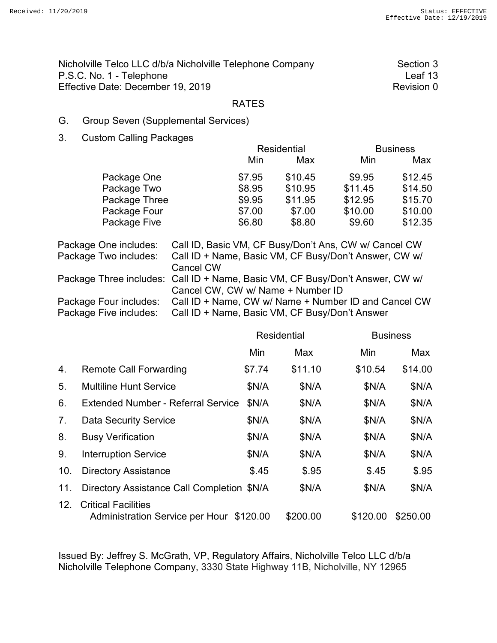| Nicholville Telco LLC d/b/a Nicholville Telephone Company | Section 3  |
|-----------------------------------------------------------|------------|
| P.S.C. No. 1 - Telephone                                  | Leaf 13    |
| Effective Date: December 19, 2019                         | Revision 0 |

### G. Group Seven (Supplemental Services)

3. Custom Calling Packages

|        | <b>Residential</b> |         | <b>Business</b> |
|--------|--------------------|---------|-----------------|
| Min    | Max                | Min     | Max             |
| \$7.95 | \$10.45            | \$9.95  | \$12.45         |
| \$8.95 | \$10.95            | \$11.45 | \$14.50         |
| \$9.95 | \$11.95            | \$12.95 | \$15.70         |
| \$7.00 | \$7.00             | \$10.00 | \$10.00         |
| \$6.80 | \$8.80             | \$9.60  | \$12.35         |
|        |                    |         |                 |

| Package One includes:  | Call ID, Basic VM, CF Busy/Don't Ans, CW w/ Cancel CW                         |
|------------------------|-------------------------------------------------------------------------------|
| Package Two includes:  | Call ID + Name, Basic VM, CF Busy/Don't Answer, CW w/                         |
|                        | Cancel CW                                                                     |
|                        | Package Three includes: Call ID + Name, Basic VM, CF Busy/Don't Answer, CW w/ |
|                        | Cancel CW, CW w/ Name + Number ID                                             |
| Package Four includes: | Call ID + Name, CW w/ Name + Number ID and Cancel CW                          |
| Package Five includes: | Call ID + Name, Basic VM, CF Busy/Don't Answer                                |

|                |                                                                        | <b>Residential</b> |          | <b>Business</b> |          |
|----------------|------------------------------------------------------------------------|--------------------|----------|-----------------|----------|
|                |                                                                        | Min                | Max      | Min             | Max      |
| 4.             | <b>Remote Call Forwarding</b>                                          | \$7.74             | \$11.10  | \$10.54         | \$14.00  |
| 5.             | <b>Multiline Hunt Service</b>                                          | \$N/A              | \$N/A    | \$N/A           | \$N/A    |
| 6.             | <b>Extended Number - Referral Service</b>                              | \$N/A              | \$N/A    | \$N/A           | \$N/A    |
| 7 <sub>1</sub> | <b>Data Security Service</b>                                           | \$N/A              | \$N/A    | \$N/A           | \$N/A    |
| 8.             | <b>Busy Verification</b>                                               | \$N/A              | \$N/A    | \$N/A           | \$N/A    |
| 9.             | <b>Interruption Service</b>                                            | \$N/A              | \$N/A    | \$N/A           | \$N/A    |
| 10.            | <b>Directory Assistance</b>                                            | \$.45              | \$.95    | \$.45           | \$.95    |
| 11.            | Directory Assistance Call Completion \$N/A                             |                    | \$N/A    | \$N/A           | \$N/A    |
| 12.            | <b>Critical Facilities</b><br>Administration Service per Hour \$120.00 |                    | \$200.00 | \$120.00        | \$250.00 |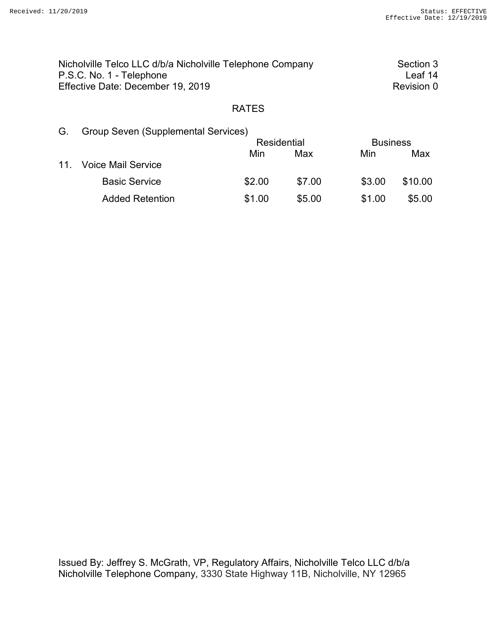| Nicholville Telco LLC d/b/a Nicholville Telephone Company | Section 3  |
|-----------------------------------------------------------|------------|
| P.S.C. No. 1 - Telephone                                  | l eaf 14   |
| Effective Date: December 19, 2019                         | Revision 0 |

| G.  | <b>Group Seven (Supplemental Services)</b> |                    |        |        |                 |  |
|-----|--------------------------------------------|--------------------|--------|--------|-----------------|--|
|     |                                            | <b>Residential</b> |        |        | <b>Business</b> |  |
|     |                                            | Min                | Max    | Min    | Max             |  |
| 11. | <b>Voice Mail Service</b>                  |                    |        |        |                 |  |
|     | <b>Basic Service</b>                       | \$2.00             | \$7.00 | \$3.00 | \$10.00         |  |
|     | <b>Added Retention</b>                     | \$1.00             | \$5.00 | \$1.00 | \$5.00          |  |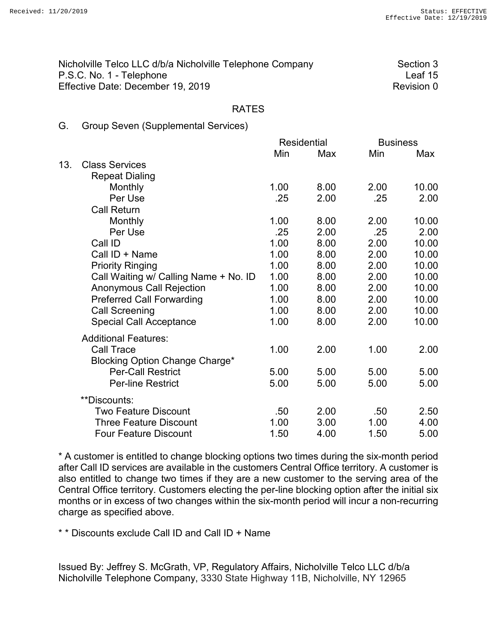| Nicholville Telco LLC d/b/a Nicholville Telephone Company | Section 3  |
|-----------------------------------------------------------|------------|
| P.S.C. No. 1 - Telephone                                  | Leaf 15    |
| Effective Date: December 19, 2019                         | Revision 0 |

### G. Group Seven (Supplemental Services)

|     |                                       | <b>Residential</b> |      | <b>Business</b> |       |
|-----|---------------------------------------|--------------------|------|-----------------|-------|
|     |                                       | Min                | Max  | Min             | Max   |
| 13. | <b>Class Services</b>                 |                    |      |                 |       |
|     | <b>Repeat Dialing</b>                 |                    |      |                 |       |
|     | Monthly                               | 1.00               | 8.00 | 2.00            | 10.00 |
|     | Per Use                               | .25                | 2.00 | .25             | 2.00  |
|     | <b>Call Return</b>                    |                    |      |                 |       |
|     | Monthly                               | 1.00               | 8.00 | 2.00            | 10.00 |
|     | Per Use                               | .25                | 2.00 | .25             | 2.00  |
|     | Call ID                               | 1.00               | 8.00 | 2.00            | 10.00 |
|     | Call ID + Name                        | 1.00               | 8.00 | 2.00            | 10.00 |
|     | <b>Priority Ringing</b>               | 1.00               | 8.00 | 2.00            | 10.00 |
|     | Call Waiting w/ Calling Name + No. ID | 1.00               | 8.00 | 2.00            | 10.00 |
|     | <b>Anonymous Call Rejection</b>       | 1.00               | 8.00 | 2.00            | 10.00 |
|     | <b>Preferred Call Forwarding</b>      | 1.00               | 8.00 | 2.00            | 10.00 |
|     | <b>Call Screening</b>                 | 1.00               | 8.00 | 2.00            | 10.00 |
|     | <b>Special Call Acceptance</b>        | 1.00               | 8.00 | 2.00            | 10.00 |
|     | <b>Additional Features:</b>           |                    |      |                 |       |
|     | Call Trace                            | 1.00               | 2.00 | 1.00            | 2.00  |
|     | Blocking Option Change Charge*        |                    |      |                 |       |
|     | <b>Per-Call Restrict</b>              | 5.00               | 5.00 | 5.00            | 5.00  |
|     | <b>Per-line Restrict</b>              | 5.00               | 5.00 | 5.00            | 5.00  |
|     | **Discounts:                          |                    |      |                 |       |
|     | <b>Two Feature Discount</b>           | .50                | 2.00 | .50             | 2.50  |
|     | <b>Three Feature Discount</b>         | 1.00               | 3.00 | 1.00            | 4.00  |
|     | <b>Four Feature Discount</b>          | 1.50               | 4.00 | 1.50            | 5.00  |

 \* A customer is entitled to change blocking options two times during the six-month period after Call ID services are available in the customers Central Office territory. A customer is also entitled to change two times if they are a new customer to the serving area of the Central Office territory. Customers electing the per-line blocking option after the initial six months or in excess of two changes within the six-month period will incur a non-recurring charge as specified above.

\* \* Discounts exclude Call ID and Call ID + Name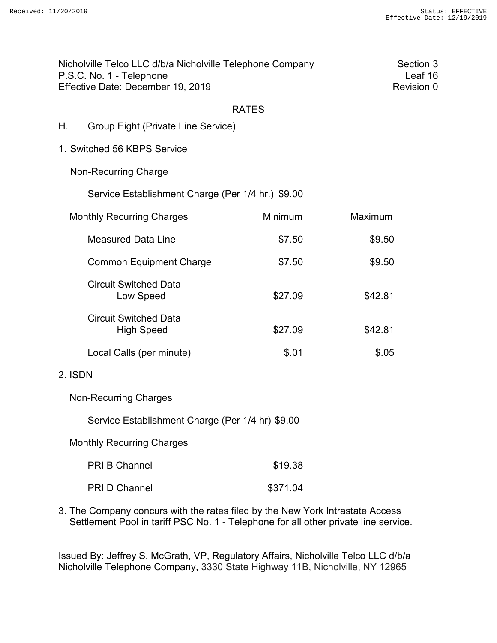|         | Nicholville Telco LLC d/b/a Nicholville Telephone Company<br>P.S.C. No. 1 - Telephone<br>Effective Date: December 19, 2019 |              | Section 3<br>Leaf 16<br>Revision 0 |  |
|---------|----------------------------------------------------------------------------------------------------------------------------|--------------|------------------------------------|--|
|         |                                                                                                                            | <b>RATES</b> |                                    |  |
| Η.      | <b>Group Eight (Private Line Service)</b>                                                                                  |              |                                    |  |
|         | 1. Switched 56 KBPS Service                                                                                                |              |                                    |  |
|         | <b>Non-Recurring Charge</b>                                                                                                |              |                                    |  |
|         | Service Establishment Charge (Per 1/4 hr.) \$9.00                                                                          |              |                                    |  |
|         | <b>Monthly Recurring Charges</b>                                                                                           | Minimum      | Maximum                            |  |
|         | <b>Measured Data Line</b>                                                                                                  | \$7.50       | \$9.50                             |  |
|         | <b>Common Equipment Charge</b>                                                                                             | \$7.50       | \$9.50                             |  |
|         | <b>Circuit Switched Data</b><br>Low Speed                                                                                  | \$27.09      | \$42.81                            |  |
|         | <b>Circuit Switched Data</b><br><b>High Speed</b>                                                                          | \$27.09      | \$42.81                            |  |
|         | Local Calls (per minute)                                                                                                   | \$.01        | \$.05                              |  |
| 2. ISDN |                                                                                                                            |              |                                    |  |
|         | <b>Non-Recurring Charges</b>                                                                                               |              |                                    |  |
|         | Service Establishment Charge (Per 1/4 hr) \$9.00                                                                           |              |                                    |  |
|         | <b>Monthly Recurring Charges</b>                                                                                           |              |                                    |  |
|         | PRI B Channel                                                                                                              | \$19.38      |                                    |  |
|         | PRI D Channel                                                                                                              | \$371.04     |                                    |  |
|         |                                                                                                                            |              |                                    |  |

3. The Company concurs with the rates filed by the New York Intrastate Access Settlement Pool in tariff PSC No. 1 - Telephone for all other private line service.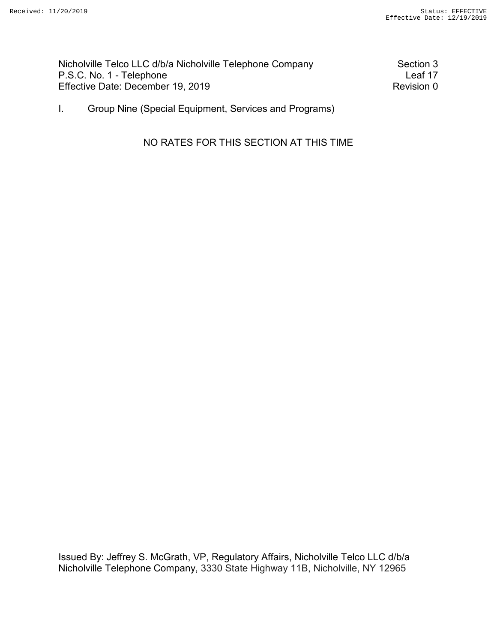Nicholville Telco LLC d/b/a Nicholville Telephone Company Section 3<br>P.S.C. No. 1 - Telephone P.S.C. No. 1 - Telephone Effective Date: December 19, 2019 Revision 0

I. Group Nine (Special Equipment, Services and Programs)

NO RATES FOR THIS SECTION AT THIS TIME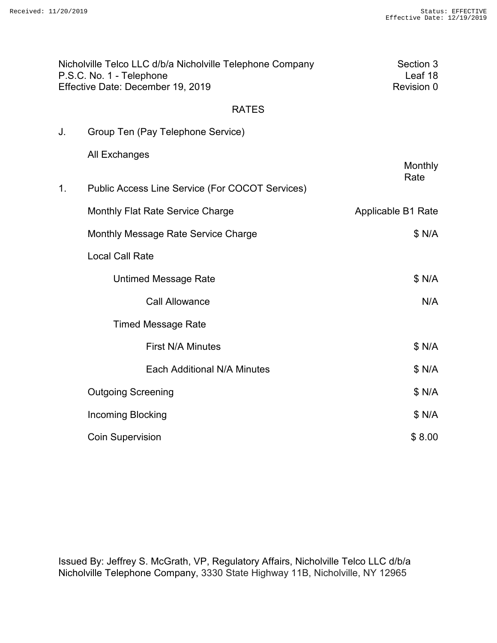|    | Nicholville Telco LLC d/b/a Nicholville Telephone Company<br>P.S.C. No. 1 - Telephone<br>Effective Date: December 19, 2019 | Section 3<br>Leaf 18<br>Revision 0 |
|----|----------------------------------------------------------------------------------------------------------------------------|------------------------------------|
|    | <b>RATES</b>                                                                                                               |                                    |
| J. | Group Ten (Pay Telephone Service)                                                                                          |                                    |
|    | <b>All Exchanges</b>                                                                                                       | <b>Monthly</b><br>Rate             |
| 1. | Public Access Line Service (For COCOT Services)                                                                            |                                    |
|    | <b>Monthly Flat Rate Service Charge</b>                                                                                    | Applicable B1 Rate                 |
|    | Monthly Message Rate Service Charge                                                                                        | \$ N/A                             |
|    | <b>Local Call Rate</b>                                                                                                     |                                    |
|    | <b>Untimed Message Rate</b>                                                                                                | \$ N/A                             |
|    | <b>Call Allowance</b>                                                                                                      | N/A                                |
|    | <b>Timed Message Rate</b>                                                                                                  |                                    |
|    | <b>First N/A Minutes</b>                                                                                                   | \$ N/A                             |
|    | Each Additional N/A Minutes                                                                                                | \$ N/A                             |
|    | <b>Outgoing Screening</b>                                                                                                  | \$ N/A                             |
|    | <b>Incoming Blocking</b>                                                                                                   | \$ N/A                             |
|    | <b>Coin Supervision</b>                                                                                                    | \$8.00                             |